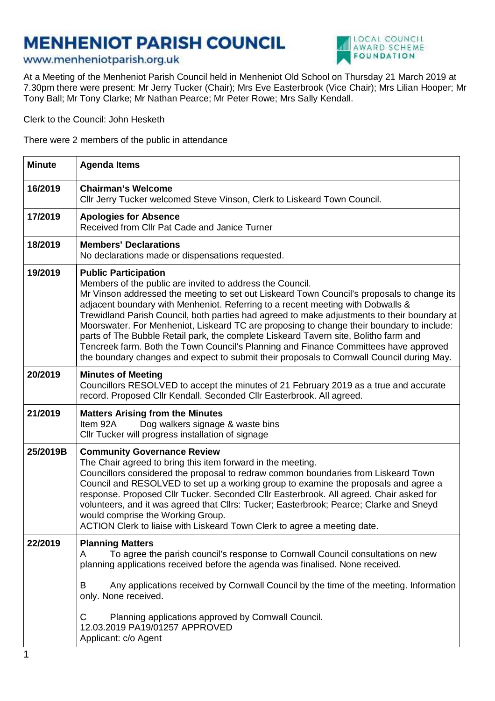## **MENHENIOT PARISH COUNCIL**





At a Meeting of the Menheniot Parish Council held in Menheniot Old School on Thursday 21 March 2019 at 7.30pm there were present: Mr Jerry Tucker (Chair); Mrs Eve Easterbrook (Vice Chair); Mrs Lilian Hooper; Mr Tony Ball; Mr Tony Clarke; Mr Nathan Pearce; Mr Peter Rowe; Mrs Sally Kendall.

Clerk to the Council: John Hesketh

There were 2 members of the public in attendance

| <b>Agenda Items</b>                                                                                                                                                                                                                                                                                                                                                                                                                                                                                                                                                                                                                                                                                                                                |  |  |
|----------------------------------------------------------------------------------------------------------------------------------------------------------------------------------------------------------------------------------------------------------------------------------------------------------------------------------------------------------------------------------------------------------------------------------------------------------------------------------------------------------------------------------------------------------------------------------------------------------------------------------------------------------------------------------------------------------------------------------------------------|--|--|
| <b>Chairman's Welcome</b><br>Cllr Jerry Tucker welcomed Steve Vinson, Clerk to Liskeard Town Council.                                                                                                                                                                                                                                                                                                                                                                                                                                                                                                                                                                                                                                              |  |  |
| <b>Apologies for Absence</b><br>Received from Cllr Pat Cade and Janice Turner                                                                                                                                                                                                                                                                                                                                                                                                                                                                                                                                                                                                                                                                      |  |  |
| <b>Members' Declarations</b><br>No declarations made or dispensations requested.                                                                                                                                                                                                                                                                                                                                                                                                                                                                                                                                                                                                                                                                   |  |  |
| <b>Public Participation</b><br>Members of the public are invited to address the Council.<br>Mr Vinson addressed the meeting to set out Liskeard Town Council's proposals to change its<br>adjacent boundary with Menheniot. Referring to a recent meeting with Dobwalls &<br>Trewidland Parish Council, both parties had agreed to make adjustments to their boundary at<br>Moorswater. For Menheniot, Liskeard TC are proposing to change their boundary to include:<br>parts of The Bubble Retail park, the complete Liskeard Tavern site, Bolitho farm and<br>Tencreek farm. Both the Town Council's Planning and Finance Committees have approved<br>the boundary changes and expect to submit their proposals to Cornwall Council during May. |  |  |
| <b>Minutes of Meeting</b><br>Councillors RESOLVED to accept the minutes of 21 February 2019 as a true and accurate<br>record. Proposed Cllr Kendall. Seconded Cllr Easterbrook. All agreed.                                                                                                                                                                                                                                                                                                                                                                                                                                                                                                                                                        |  |  |
| <b>Matters Arising from the Minutes</b><br>Dog walkers signage & waste bins<br>Item 92A<br>Cllr Tucker will progress installation of signage                                                                                                                                                                                                                                                                                                                                                                                                                                                                                                                                                                                                       |  |  |
| <b>Community Governance Review</b><br>The Chair agreed to bring this item forward in the meeting.<br>Councillors considered the proposal to redraw common boundaries from Liskeard Town<br>Council and RESOLVED to set up a working group to examine the proposals and agree a<br>response. Proposed Cllr Tucker. Seconded Cllr Easterbrook. All agreed. Chair asked for<br>volunteers, and it was agreed that Cllrs: Tucker; Easterbrook; Pearce; Clarke and Sneyd<br>would comprise the Working Group.<br>ACTION Clerk to liaise with Liskeard Town Clerk to agree a meeting date.                                                                                                                                                               |  |  |
| <b>Planning Matters</b><br>To agree the parish council's response to Cornwall Council consultations on new<br>A<br>planning applications received before the agenda was finalised. None received.<br>B<br>Any applications received by Cornwall Council by the time of the meeting. Information<br>only. None received.<br>Planning applications approved by Cornwall Council.<br>С<br>12.03.2019 PA19/01257 APPROVED<br>Applicant: c/o Agent                                                                                                                                                                                                                                                                                                      |  |  |
|                                                                                                                                                                                                                                                                                                                                                                                                                                                                                                                                                                                                                                                                                                                                                    |  |  |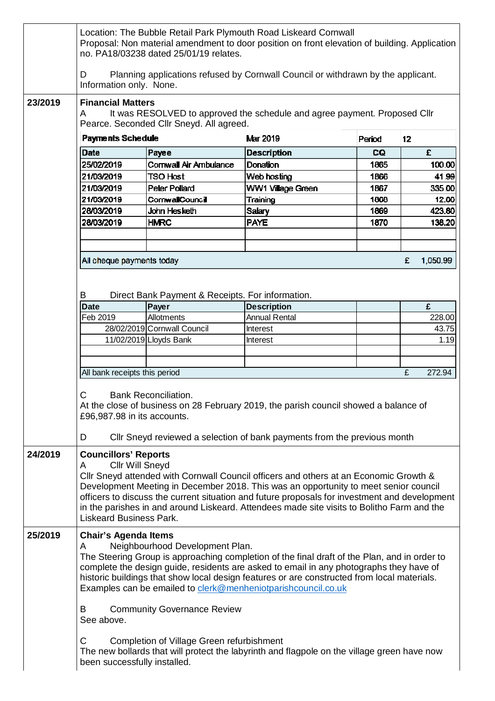|         | Location: The Bubble Retail Park Plymouth Road Liskeard Cornwall<br>Proposal: Non material amendment to door position on front elevation of building. Application<br>no. PA18/03238 dated 25/01/19 relates.                                                                                                                                                                                                                                                                                                                                                                                                                              |                                                  |                      |        |               |  |
|---------|------------------------------------------------------------------------------------------------------------------------------------------------------------------------------------------------------------------------------------------------------------------------------------------------------------------------------------------------------------------------------------------------------------------------------------------------------------------------------------------------------------------------------------------------------------------------------------------------------------------------------------------|--------------------------------------------------|----------------------|--------|---------------|--|
|         | Planning applications refused by Cornwall Council or withdrawn by the applicant.<br>D<br>Information only. None.                                                                                                                                                                                                                                                                                                                                                                                                                                                                                                                         |                                                  |                      |        |               |  |
| 23/2019 | <b>Financial Matters</b><br>It was RESOLVED to approved the schedule and agree payment. Proposed Cllr<br>A<br>Pearce. Seconded Cllr Sneyd. All agreed.                                                                                                                                                                                                                                                                                                                                                                                                                                                                                   |                                                  |                      |        |               |  |
|         | Payments Schedule                                                                                                                                                                                                                                                                                                                                                                                                                                                                                                                                                                                                                        |                                                  | Mar 2019             | Period | 12            |  |
|         | Date                                                                                                                                                                                                                                                                                                                                                                                                                                                                                                                                                                                                                                     | Payee                                            | <b>Description</b>   | CQ.    | £             |  |
|         | 25/02/2019                                                                                                                                                                                                                                                                                                                                                                                                                                                                                                                                                                                                                               | Cornwall Air Ambulance                           | Donation             | 1865   | 100.00        |  |
|         | 21/03/2019                                                                                                                                                                                                                                                                                                                                                                                                                                                                                                                                                                                                                               | <b>TSO Host</b>                                  | Web hosting          | 1866   | 41.99         |  |
|         | 21/03/2019                                                                                                                                                                                                                                                                                                                                                                                                                                                                                                                                                                                                                               | <b>Peter Pollard</b>                             | WW1 Village Green    | 1867   | 335.00        |  |
|         | 21/03/2019                                                                                                                                                                                                                                                                                                                                                                                                                                                                                                                                                                                                                               | CornwallCouncil                                  | Training             | 1868   | 12.00         |  |
|         | 28/03/2019                                                                                                                                                                                                                                                                                                                                                                                                                                                                                                                                                                                                                               | John Hesketh                                     | <b>Salary</b>        | 1869   | 423.80        |  |
|         | 28/03/2019                                                                                                                                                                                                                                                                                                                                                                                                                                                                                                                                                                                                                               | <b>HMRC</b>                                      | <b>PAYE</b>          | 1870   | 138.20        |  |
|         |                                                                                                                                                                                                                                                                                                                                                                                                                                                                                                                                                                                                                                          |                                                  |                      |        |               |  |
|         |                                                                                                                                                                                                                                                                                                                                                                                                                                                                                                                                                                                                                                          |                                                  |                      |        |               |  |
|         | All cheque payments today                                                                                                                                                                                                                                                                                                                                                                                                                                                                                                                                                                                                                |                                                  |                      |        | 1,050.99<br>£ |  |
|         | B                                                                                                                                                                                                                                                                                                                                                                                                                                                                                                                                                                                                                                        | Direct Bank Payment & Receipts. For information. |                      |        |               |  |
|         | <b>Date</b>                                                                                                                                                                                                                                                                                                                                                                                                                                                                                                                                                                                                                              | Payer                                            | <b>Description</b>   |        | £             |  |
|         | Feb 2019                                                                                                                                                                                                                                                                                                                                                                                                                                                                                                                                                                                                                                 | Allotments                                       | <b>Annual Rental</b> |        | 228.00        |  |
|         |                                                                                                                                                                                                                                                                                                                                                                                                                                                                                                                                                                                                                                          | 28/02/2019 Cornwall Council                      | <b>Interest</b>      |        | 43.75         |  |
|         |                                                                                                                                                                                                                                                                                                                                                                                                                                                                                                                                                                                                                                          | 11/02/2019 Lloyds Bank                           | <b>Interest</b>      |        | 1.19          |  |
|         |                                                                                                                                                                                                                                                                                                                                                                                                                                                                                                                                                                                                                                          |                                                  |                      |        |               |  |
|         |                                                                                                                                                                                                                                                                                                                                                                                                                                                                                                                                                                                                                                          |                                                  |                      |        |               |  |
|         | All bank receipts this period                                                                                                                                                                                                                                                                                                                                                                                                                                                                                                                                                                                                            |                                                  |                      |        | £<br>272.94   |  |
|         | C.<br><b>Bank Reconciliation</b><br>At the close of business on 28 February 2019, the parish council showed a balance of<br>£96,987.98 in its accounts.<br>CIIr Sneyd reviewed a selection of bank payments from the previous month<br>D                                                                                                                                                                                                                                                                                                                                                                                                 |                                                  |                      |        |               |  |
| 24/2019 | <b>Councillors' Reports</b><br><b>Cllr Will Sneyd</b><br>A<br>CIIr Sneyd attended with Cornwall Council officers and others at an Economic Growth &<br>Development Meeting in December 2018. This was an opportunity to meet senior council<br>officers to discuss the current situation and future proposals for investment and development<br>in the parishes in and around Liskeard. Attendees made site visits to Bolitho Farm and the<br><b>Liskeard Business Park.</b>                                                                                                                                                             |                                                  |                      |        |               |  |
| 25/2019 | <b>Chair's Agenda Items</b><br>Neighbourhood Development Plan.<br>A<br>The Steering Group is approaching completion of the final draft of the Plan, and in order to<br>complete the design guide, residents are asked to email in any photographs they have of<br>historic buildings that show local design features or are constructed from local materials.<br>Examples can be emailed to clerk@menheniotparishcouncil.co.uk<br><b>Community Governance Review</b><br>B<br>See above.<br>Completion of Village Green refurbishment<br>C<br>The new bollards that will protect the labyrinth and flagpole on the village green have now |                                                  |                      |        |               |  |
|         | been successfully installed.                                                                                                                                                                                                                                                                                                                                                                                                                                                                                                                                                                                                             |                                                  |                      |        |               |  |